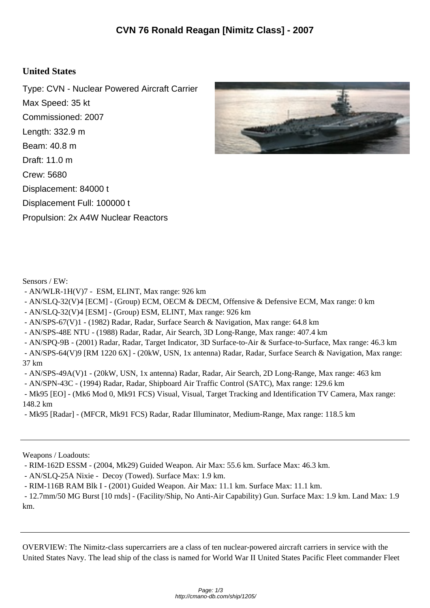## **United States**

Type: CVN - Nuclear Powered Aircraft Carrier Max Speed: 35 kt Commissioned: 2007 Length: 332.9 m Beam: 40.8 m Draft: 11.0 m Crew: 5680 Displacement: 84000 t Displacement Full: 100000 t Propulsion: 2x A4W Nuclear Reactors



Sensors / EW:

- AN/WLR-1H(V)7 ESM, ELINT, Max range: 926 km
- AN/SLQ-32(V)4 [ECM] (Group) ECM, OECM & DECM, Offensive & Defensive ECM, Max range: 0 km
- AN/SLQ-32(V)4 [ESM] (Group) ESM, ELINT, Max range: 926 km
- AN/SPS-67(V)1 (1982) Radar, Radar, Surface Search & Navigation, Max range: 64.8 km
- AN/SPS-48E NTU (1988) Radar, Radar, Air Search, 3D Long-Range, Max range: 407.4 km
- AN/SPQ-9B (2001) Radar, Radar, Target Indicator, 3D Surface-to-Air & Surface-to-Surface, Max range: 46.3 km
- AN/SPS-64(V)9 [RM 1220 6X] (20kW, USN, 1x antenna) Radar, Radar, Surface Search & Navigation, Max range: 37 km
- AN/SPS-49A(V)1 (20kW, USN, 1x antenna) Radar, Radar, Air Search, 2D Long-Range, Max range: 463 km
- AN/SPN-43C (1994) Radar, Radar, Shipboard Air Traffic Control (SATC), Max range: 129.6 km
- Mk95 [EO] (Mk6 Mod 0, Mk91 FCS) Visual, Visual, Target Tracking and Identification TV Camera, Max range: 148.2 km
- Mk95 [Radar] (MFCR, Mk91 FCS) Radar, Radar Illuminator, Medium-Range, Max range: 118.5 km

Weapons / Loadouts:

- RIM-162D ESSM - (2004, Mk29) Guided Weapon. Air Max: 55.6 km. Surface Max: 46.3 km.

- AN/SLQ-25A Nixie - Decoy (Towed). Surface Max: 1.9 km.

- RIM-116B RAM Blk I - (2001) Guided Weapon. Air Max: 11.1 km. Surface Max: 11.1 km.

 - 12.7mm/50 MG Burst [10 rnds] - (Facility/Ship, No Anti-Air Capability) Gun. Surface Max: 1.9 km. Land Max: 1.9 km.

OVERVIEW: The Nimitz-class supercarriers are a class of ten nuclear-powered aircraft carriers in service with the United States Navy. The lead ship of the class is named for World War II United States Pacific Fleet commander Fleet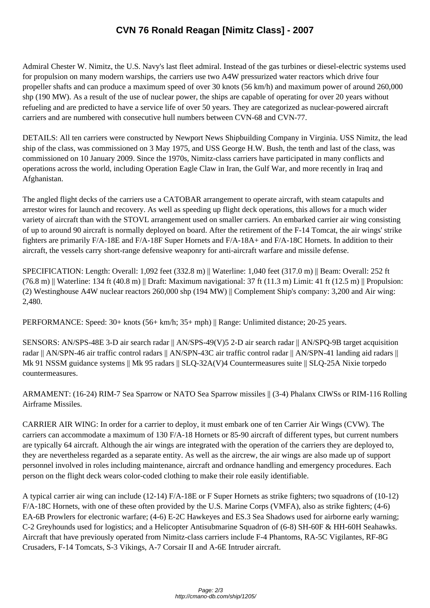Admiral Chester W. Nimitz, [the U.S. Navy's last fleet admiral. Instead of the gas turbines or](http://cmano-db.com/ship/1205/) diesel-electric systems used for propulsion on many modern warships, the carriers use two A4W pressurized water reactors which drive four propeller shafts and can produce a maximum speed of over 30 knots (56 km/h) and maximum power of around 260,000 shp (190 MW). As a result of the use of nuclear power, the ships are capable of operating for over 20 years without refueling and are predicted to have a service life of over 50 years. They are categorized as nuclear-powered aircraft carriers and are numbered with consecutive hull numbers between CVN-68 and CVN-77.

DETAILS: All ten carriers were constructed by Newport News Shipbuilding Company in Virginia. USS Nimitz, the lead ship of the class, was commissioned on 3 May 1975, and USS George H.W. Bush, the tenth and last of the class, was commissioned on 10 January 2009. Since the 1970s, Nimitz-class carriers have participated in many conflicts and operations across the world, including Operation Eagle Claw in Iran, the Gulf War, and more recently in Iraq and Afghanistan.

The angled flight decks of the carriers use a CATOBAR arrangement to operate aircraft, with steam catapults and arrestor wires for launch and recovery. As well as speeding up flight deck operations, this allows for a much wider variety of aircraft than with the STOVL arrangement used on smaller carriers. An embarked carrier air wing consisting of up to around 90 aircraft is normally deployed on board. After the retirement of the F-14 Tomcat, the air wings' strike fighters are primarily F/A-18E and F/A-18F Super Hornets and F/A-18A+ and F/A-18C Hornets. In addition to their aircraft, the vessels carry short-range defensive weaponry for anti-aircraft warfare and missile defense.

SPECIFICATION: Length: Overall: 1,092 feet (332.8 m) || Waterline: 1,040 feet (317.0 m) || Beam: Overall: 252 ft  $(76.8 \text{ m})$  || Waterline: 134 ft (40.8 m) || Draft: Maximum navigational: 37 ft (11.3 m) Limit: 41 ft (12.5 m) || Propulsion: (2) Westinghouse A4W nuclear reactors 260,000 shp (194 MW) || Complement Ship's company: 3,200 and Air wing: 2,480.

PERFORMANCE: Speed: 30+ knots (56+ km/h; 35+ mph) || Range: Unlimited distance; 20-25 years.

SENSORS: AN/SPS-48E 3-D air search radar || AN/SPS-49(V)5 2-D air search radar || AN/SPQ-9B target acquisition radar || AN/SPN-46 air traffic control radars || AN/SPN-43C air traffic control radar || AN/SPN-41 landing aid radars || Mk 91 NSSM guidance systems || Mk 95 radars || SLQ-32A(V)4 Countermeasures suite || SLQ-25A Nixie torpedo countermeasures.

ARMAMENT: (16-24) RIM-7 Sea Sparrow or NATO Sea Sparrow missiles || (3-4) Phalanx CIWSs or RIM-116 Rolling Airframe Missiles.

CARRIER AIR WING: In order for a carrier to deploy, it must embark one of ten Carrier Air Wings (CVW). The carriers can accommodate a maximum of 130 F/A-18 Hornets or 85-90 aircraft of different types, but current numbers are typically 64 aircraft. Although the air wings are integrated with the operation of the carriers they are deployed to, they are nevertheless regarded as a separate entity. As well as the aircrew, the air wings are also made up of support personnel involved in roles including maintenance, aircraft and ordnance handling and emergency procedures. Each person on the flight deck wears color-coded clothing to make their role easily identifiable.

A typical carrier air wing can include (12-14) F/A-18E or F Super Hornets as strike fighters; two squadrons of (10-12) F/A-18C Hornets, with one of these often provided by the U.S. Marine Corps (VMFA), also as strike fighters; (4-6) EA-6B Prowlers for electronic warfare; (4-6) E-2C Hawkeyes and ES.3 Sea Shadows used for airborne early warning; C-2 Greyhounds used for logistics; and a Helicopter Antisubmarine Squadron of (6-8) SH-60F & HH-60H Seahawks. Aircraft that have previously operated from Nimitz-class carriers include F-4 Phantoms, RA-5C Vigilantes, RF-8G Crusaders, F-14 Tomcats, S-3 Vikings, A-7 Corsair II and A-6E Intruder aircraft.